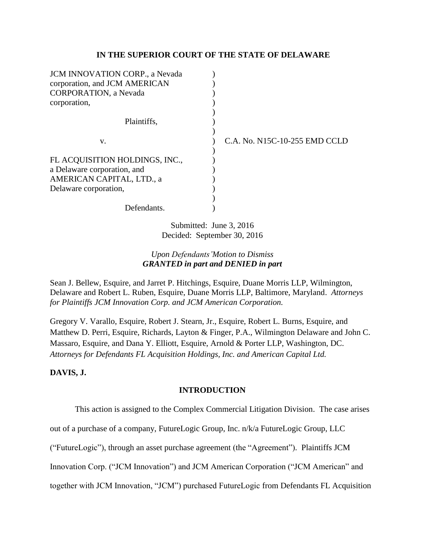### **IN THE SUPERIOR COURT OF THE STATE OF DELAWARE**

| C.A. No. N15C-10-255 EMD CCLD |
|-------------------------------|
|                               |
|                               |
|                               |
|                               |
|                               |
|                               |
|                               |
|                               |

Submitted: June 3, 2016 Decided: September 30, 2016

# *Upon Defendants'Motion to Dismiss GRANTED in part and DENIED in part*

Sean J. Bellew, Esquire, and Jarret P. Hitchings, Esquire, Duane Morris LLP, Wilmington, Delaware and Robert L. Ruben, Esquire, Duane Morris LLP, Baltimore, Maryland. *Attorneys for Plaintiffs JCM Innovation Corp. and JCM American Corporation.*

Gregory V. Varallo, Esquire, Robert J. Stearn, Jr., Esquire, Robert L. Burns, Esquire, and Matthew D. Perri, Esquire, Richards, Layton & Finger, P.A., Wilmington Delaware and John C. Massaro, Esquire, and Dana Y. Elliott, Esquire, Arnold & Porter LLP, Washington, DC. *Attorneys for Defendants FL Acquisition Holdings, Inc. and American Capital Ltd.*

## **DAVIS, J.**

## **INTRODUCTION**

This action is assigned to the Complex Commercial Litigation Division. The case arises

out of a purchase of a company, FutureLogic Group, Inc. n/k/a FutureLogic Group, LLC

("FutureLogic"), through an asset purchase agreement (the "Agreement"). Plaintiffs JCM

Innovation Corp. ("JCM Innovation") and JCM American Corporation ("JCM American" and

together with JCM Innovation, "JCM") purchased FutureLogic from Defendants FL Acquisition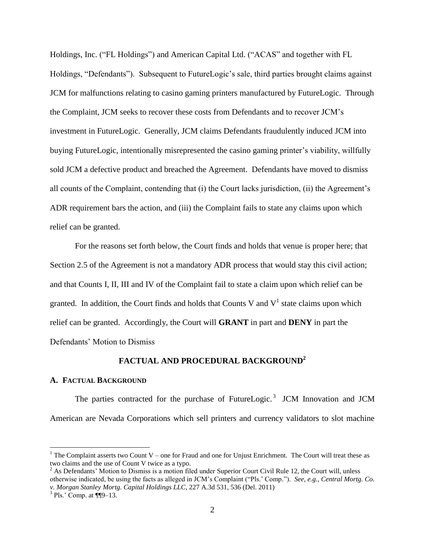Holdings, Inc. ("FL Holdings") and American Capital Ltd. ("ACAS" and together with FL Holdings, "Defendants"). Subsequent to FutureLogic's sale, third parties brought claims against JCM for malfunctions relating to casino gaming printers manufactured by FutureLogic. Through the Complaint, JCM seeks to recover these costs from Defendants and to recover JCM's investment in FutureLogic. Generally, JCM claims Defendants fraudulently induced JCM into buying FutureLogic, intentionally misrepresented the casino gaming printer's viability, willfully sold JCM a defective product and breached the Agreement. Defendants have moved to dismiss all counts of the Complaint, contending that (i) the Court lacks jurisdiction, (ii) the Agreement's ADR requirement bars the action, and (iii) the Complaint fails to state any claims upon which relief can be granted.

For the reasons set forth below, the Court finds and holds that venue is proper here; that Section 2.5 of the Agreement is not a mandatory ADR process that would stay this civil action; and that Counts I, II, III and IV of the Complaint fail to state a claim upon which relief can be granted. In addition, the Court finds and holds that Counts V and  $V^1$  state claims upon which relief can be granted. Accordingly, the Court will **GRANT** in part and **DENY** in part the Defendants' Motion to Dismiss

# **FACTUAL AND PROCEDURAL BACKGROUND<sup>2</sup>**

#### **A. FACTUAL BACKGROUND**

The parties contracted for the purchase of FutureLogic.<sup>3</sup> JCM Innovation and JCM American are Nevada Corporations which sell printers and currency validators to slot machine

l

<sup>&</sup>lt;sup>1</sup> The Complaint asserts two Count V – one for Fraud and one for Unjust Enrichment. The Court will treat these as two claims and the use of Count V twice as a typo.

 $2^2$  As Defendants' Motion to Dismiss is a motion filed under Superior Court Civil Rule 12, the Court will, unless otherwise indicated, be using the facts as alleged in JCM's Complaint ("Pls.' Comp."). *See, e.g., Central Mortg. Co. v. Morgan Stanley Mortg. Capital Holdings LLC*, 227 A.3d 531, 536 (Del. 2011)

 $3$  Pls.' Comp. at  $\P$ [9–13.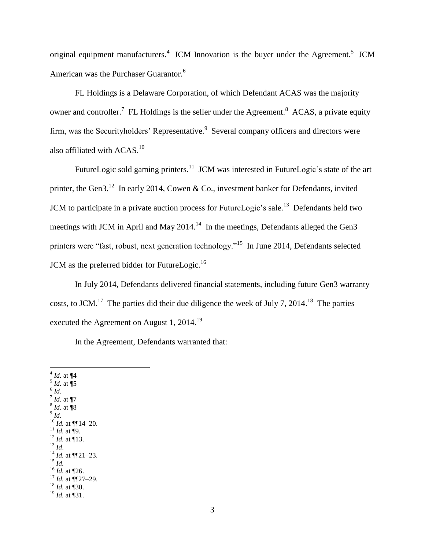original equipment manufacturers.<sup>4</sup> JCM Innovation is the buyer under the Agreement.<sup>5</sup> JCM American was the Purchaser Guarantor.<sup>6</sup>

FL Holdings is a Delaware Corporation, of which Defendant ACAS was the majority owner and controller.<sup>7</sup> FL Holdings is the seller under the Agreement.<sup>8</sup> ACAS, a private equity firm, was the Securityholders' Representative.<sup>9</sup> Several company officers and directors were also affiliated with  $ACAS$ <sup>10</sup>

FutureLogic sold gaming printers.<sup>11</sup> JCM was interested in FutureLogic's state of the art printer, the Gen3.<sup>12</sup> In early 2014, Cowen & Co., investment banker for Defendants, invited JCM to participate in a private auction process for FutureLogic's sale.<sup>13</sup> Defendants held two meetings with JCM in April and May 2014.<sup>14</sup> In the meetings, Defendants alleged the Gen3 printers were "fast, robust, next generation technology."<sup>15</sup> In June 2014, Defendants selected JCM as the preferred bidder for FutureLogic.<sup>16</sup>

In July 2014, Defendants delivered financial statements, including future Gen3 warranty costs, to JCM.<sup>17</sup> The parties did their due diligence the week of July 7, 2014.<sup>18</sup> The parties executed the Agreement on August 1,  $2014.<sup>19</sup>$ 

In the Agreement, Defendants warranted that:

 4 *Id.* at ¶4 5 *Id.* at ¶5 6 *Id.* 7 *Id.* at ¶7 8 *Id.* at ¶8 9 *Id.*  $10$  *Id.* at  $\P[14-20$ .  $11$  *Id.* at **[9.**]  $^{12}$  *Id.* at  $\overline{1}$ 13. <sup>13</sup> *Id*.  $^{14}$  *Id.* at  $\P$ [21–23.  $^{15}$  *Id.*  $^{16}$  *Id.* at ¶26.  $17$  *Id.* at  $\P$ 27–29.  $^{18}$  *Id.* at  $\overline{130}$ . <sup>19</sup> *Id.* at ¶31.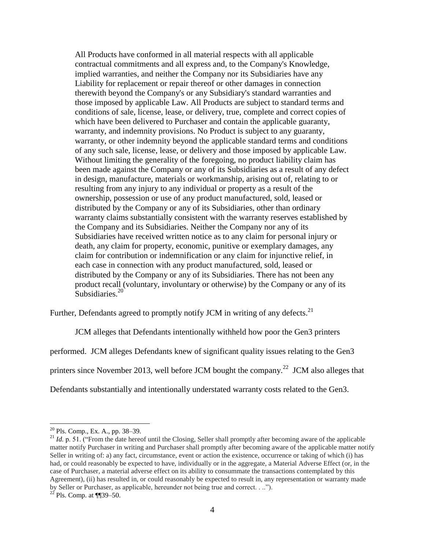All Products have conformed in all material respects with all applicable contractual commitments and all express and, to the Company's Knowledge, implied warranties, and neither the Company nor its Subsidiaries have any Liability for replacement or repair thereof or other damages in connection therewith beyond the Company's or any Subsidiary's standard warranties and those imposed by applicable Law. All Products are subject to standard terms and conditions of sale, license, lease, or delivery, true, complete and correct copies of which have been delivered to Purchaser and contain the applicable guaranty, warranty, and indemnity provisions. No Product is subject to any guaranty, warranty, or other indemnity beyond the applicable standard terms and conditions of any such sale, license, lease, or delivery and those imposed by applicable Law. Without limiting the generality of the foregoing, no product liability claim has been made against the Company or any of its Subsidiaries as a result of any defect in design, manufacture, materials or workmanship, arising out of, relating to or resulting from any injury to any individual or property as a result of the ownership, possession or use of any product manufactured, sold, leased or distributed by the Company or any of its Subsidiaries, other than ordinary warranty claims substantially consistent with the warranty reserves established by the Company and its Subsidiaries. Neither the Company nor any of its Subsidiaries have received written notice as to any claim for personal injury or death, any claim for property, economic, punitive or exemplary damages, any claim for contribution or indemnification or any claim for injunctive relief, in each case in connection with any product manufactured, sold, leased or distributed by the Company or any of its Subsidiaries. There has not been any product recall (voluntary, involuntary or otherwise) by the Company or any of its Subsidiaries. $20$ 

Further, Defendants agreed to promptly notify JCM in writing of any defects.<sup>21</sup>

JCM alleges that Defendants intentionally withheld how poor the Gen3 printers

performed. JCM alleges Defendants knew of significant quality issues relating to the Gen3

printers since November 2013, well before JCM bought the company.<sup>22</sup> JCM also alleges that

Defendants substantially and intentionally understated warranty costs related to the Gen3.

 $20$  Pls. Comp., Ex. A., pp. 38–39.

<sup>&</sup>lt;sup>21</sup> *Id.* p. 51. ("From the date hereof until the Closing, Seller shall promptly after becoming aware of the applicable matter notify Purchaser in writing and Purchaser shall promptly after becoming aware of the applicable matter notify Seller in writing of: a) any fact, circumstance, event or action the existence, occurrence or taking of which (i) has had, or could reasonably be expected to have, individually or in the aggregate, a Material Adverse Effect (or, in the case of Purchaser, a material adverse effect on its ability to consummate the transactions contemplated by this Agreement), (ii) has resulted in, or could reasonably be expected to result in, any representation or warranty made by Seller or Purchaser, as applicable, hereunder not being true and correct. . ..").

 $^{22}$  Pls. Comp. at ¶¶39–50.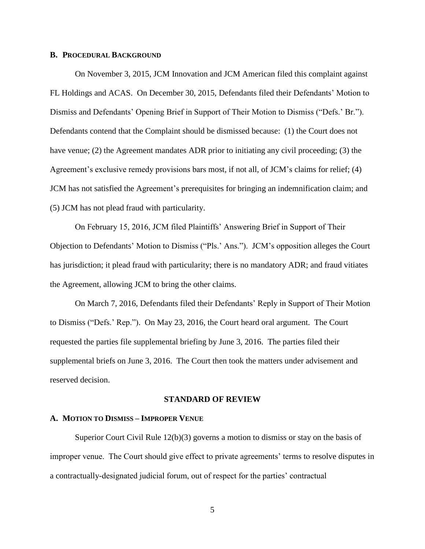#### **B. PROCEDURAL BACKGROUND**

On November 3, 2015, JCM Innovation and JCM American filed this complaint against FL Holdings and ACAS. On December 30, 2015, Defendants filed their Defendants' Motion to Dismiss and Defendants' Opening Brief in Support of Their Motion to Dismiss ("Defs.' Br."). Defendants contend that the Complaint should be dismissed because: (1) the Court does not have venue; (2) the Agreement mandates ADR prior to initiating any civil proceeding; (3) the Agreement's exclusive remedy provisions bars most, if not all, of JCM's claims for relief; (4) JCM has not satisfied the Agreement's prerequisites for bringing an indemnification claim; and (5) JCM has not plead fraud with particularity.

On February 15, 2016, JCM filed Plaintiffs' Answering Brief in Support of Their Objection to Defendants' Motion to Dismiss ("Pls.' Ans."). JCM's opposition alleges the Court has jurisdiction; it plead fraud with particularity; there is no mandatory ADR; and fraud vitiates the Agreement, allowing JCM to bring the other claims.

On March 7, 2016, Defendants filed their Defendants' Reply in Support of Their Motion to Dismiss ("Defs.' Rep."). On May 23, 2016, the Court heard oral argument. The Court requested the parties file supplemental briefing by June 3, 2016. The parties filed their supplemental briefs on June 3, 2016. The Court then took the matters under advisement and reserved decision.

#### **STANDARD OF REVIEW**

#### **A. MOTION TO DISMISS – IMPROPER VENUE**

Superior Court Civil Rule 12(b)(3) governs a motion to dismiss or stay on the basis of improper venue. The Court should give effect to private agreements' terms to resolve disputes in a contractually-designated judicial forum, out of respect for the parties' contractual

5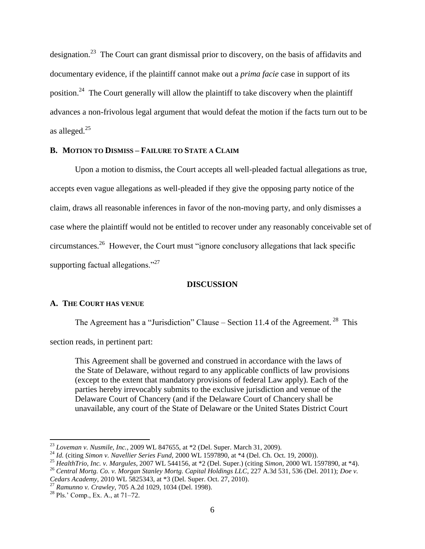designation.<sup>23</sup> The Court can grant dismissal prior to discovery, on the basis of affidavits and documentary evidence, if the plaintiff cannot make out a *prima facie* case in support of its position.<sup>24</sup> The Court generally will allow the plaintiff to take discovery when the plaintiff advances a non-frivolous legal argument that would defeat the motion if the facts turn out to be as alleged. $25$ 

## **B. MOTION TO DISMISS – FAILURE TO STATE A CLAIM**

Upon a motion to dismiss, the Court accepts all well-pleaded factual allegations as true, accepts even vague allegations as well-pleaded if they give the opposing party notice of the claim, draws all reasonable inferences in favor of the non-moving party, and only dismisses a case where the plaintiff would not be entitled to recover under any reasonably conceivable set of circumstances.<sup>26</sup> However, the Court must "ignore conclusory allegations that lack specific supporting factual allegations."<sup>27</sup>

### **DISCUSSION**

### **A. THE COURT HAS VENUE**

The Agreement has a "Jurisdiction" Clause – Section 11.4 of the Agreement.<sup>28</sup> This

section reads, in pertinent part:

This Agreement shall be governed and construed in accordance with the laws of the State of Delaware, without regard to any applicable conflicts of law provisions (except to the extent that mandatory provisions of federal Law apply). Each of the parties hereby irrevocably submits to the exclusive jurisdiction and venue of the Delaware Court of Chancery (and if the Delaware Court of Chancery shall be unavailable, any court of the State of Delaware or the United States District Court

<sup>23</sup> *Loveman v. Nusmile, Inc.*, 2009 WL 847655, at \*2 (Del. Super. March 31, 2009).

<sup>24</sup> *Id.* (citing *Simon v. Navellier Series Fund,* 2000 WL 1597890, at \*4 (Del. Ch. Oct. 19, 2000)).

<sup>25</sup> *HealthTrio, Inc. v. Margules*, 2007 WL 544156, at \*2 (Del. Super.) (citing *Simon,* 2000 WL 1597890, at \*4).

<sup>26</sup> *Central Mortg. Co. v. Morgan Stanley Mortg. Capital Holdings LLC*, 227 A.3d 531, 536 (Del. 2011); *[Doe v.](https://1.next.westlaw.com/Link/Document/FullText?findType=Y&serNum=2024656328&pubNum=0000999&originatingDoc=I9c6545c0b32611e5be74e186f6bc2536&refType=RP&originationContext=document&transitionType=DocumentItem&contextData=(sc.Search))  Cedars Academy,* [2010 WL 5825343, at \\*3 \(Del.](https://1.next.westlaw.com/Link/Document/FullText?findType=Y&serNum=2024656328&pubNum=0000999&originatingDoc=I9c6545c0b32611e5be74e186f6bc2536&refType=RP&originationContext=document&transitionType=DocumentItem&contextData=(sc.Search)) Super. Oct. 27, 2010).

<sup>27</sup> *Ramunno v. Crawley,* 705 A.2d 1029, 1034 (Del. 1998).

 $28$  Pls.' Comp., Ex. A., at 71–72.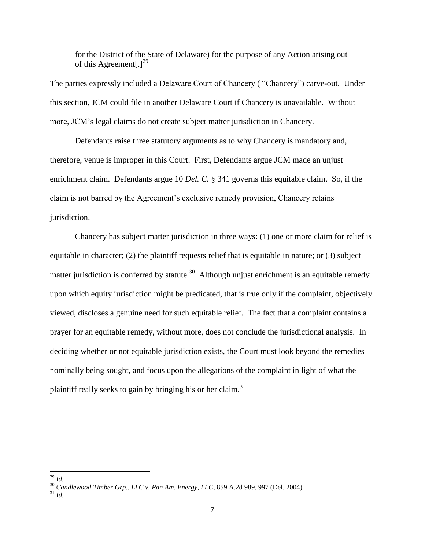for the District of the State of Delaware) for the purpose of any Action arising out of this Agreement<sup>[129</sup>]

The parties expressly included a Delaware Court of Chancery ( "Chancery") carve-out. Under this section, JCM could file in another Delaware Court if Chancery is unavailable. Without more, JCM's legal claims do not create subject matter jurisdiction in Chancery.

Defendants raise three statutory arguments as to why Chancery is mandatory and, therefore, venue is improper in this Court. First, Defendants argue JCM made an unjust enrichment claim. Defendants argue 10 *Del. C.* § 341 governs this equitable claim. So, if the claim is not barred by the Agreement's exclusive remedy provision, Chancery retains jurisdiction.

Chancery has subject matter jurisdiction in three ways: (1) one or more claim for relief is equitable in character; (2) the plaintiff requests relief that is equitable in nature; or (3) subject matter jurisdiction is conferred by statute.<sup>30</sup> Although unjust enrichment is an equitable remedy upon which equity jurisdiction might be predicated, that is true only if the complaint, objectively viewed, discloses a genuine need for such equitable relief. The fact that a complaint contains a prayer for an equitable remedy, without more, does not conclude the jurisdictional analysis. In deciding whether or not equitable jurisdiction exists, the Court must look beyond the remedies nominally being sought, and focus upon the allegations of the complaint in light of what the plaintiff really seeks to gain by bringing his or her claim.<sup>31</sup>

 $\overline{\phantom{a}}$ <sup>29</sup> *Id.*

<sup>30</sup> *Candlewood Timber Grp., LLC v. Pan Am. Energy, LLC*, 859 A.2d 989, 997 (Del. 2004)

<sup>31</sup> *Id.*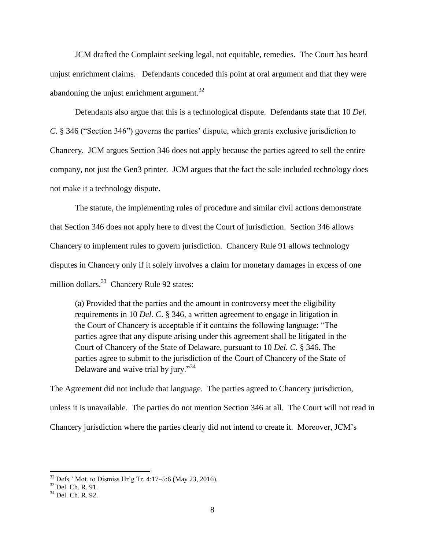JCM drafted the Complaint seeking legal, not equitable, remedies. The Court has heard unjust enrichment claims. Defendants conceded this point at oral argument and that they were abandoning the uniust enrichment argument. $32$ 

Defendants also argue that this is a technological dispute. Defendants state that 10 *Del. C.* § 346 ("Section 346") governs the parties' dispute, which grants exclusive jurisdiction to Chancery. JCM argues Section 346 does not apply because the parties agreed to sell the entire company, not just the Gen3 printer. JCM argues that the fact the sale included technology does not make it a technology dispute.

The statute, the implementing rules of procedure and similar civil actions demonstrate that Section 346 does not apply here to divest the Court of jurisdiction. Section 346 allows Chancery to implement rules to govern jurisdiction. Chancery Rule 91 allows technology disputes in Chancery only if it solely involves a claim for monetary damages in excess of one million dollars.<sup>33</sup> Chancery Rule 92 states:

(a) Provided that the parties and the amount in controversy meet the eligibility requirements in 10 *Del. C*. § 346, a written agreement to engage in litigation in the Court of Chancery is acceptable if it contains the following language: "The parties agree that any dispute arising under this agreement shall be litigated in the Court of Chancery of the State of Delaware, pursuant to 10 *Del. C*. § 346. The parties agree to submit to the jurisdiction of the Court of Chancery of the State of Delaware and waive trial by jury."<sup>34</sup>

The Agreement did not include that language. The parties agreed to Chancery jurisdiction, unless it is unavailable. The parties do not mention Section 346 at all. The Court will not read in Chancery jurisdiction where the parties clearly did not intend to create it. Moreover, JCM's

 $32$  Defs.' Mot. to Dismiss Hr'g Tr. 4:17–5:6 (May 23, 2016).

<sup>&</sup>lt;sup>33</sup> Del. Ch. R. 91.

<sup>34</sup> Del. Ch. R. 92.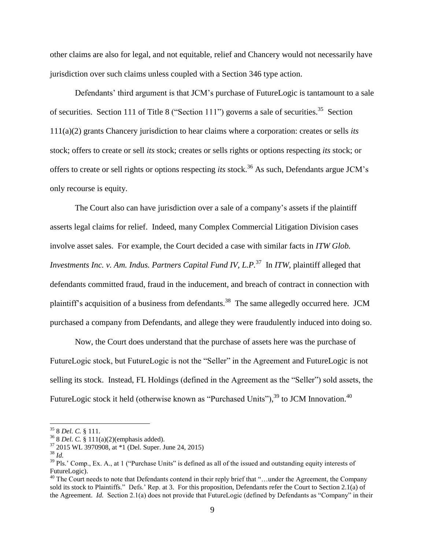other claims are also for legal, and not equitable, relief and Chancery would not necessarily have jurisdiction over such claims unless coupled with a Section 346 type action.

Defendants' third argument is that JCM's purchase of FutureLogic is tantamount to a sale of securities. Section 111 of Title 8 ("Section 111") governs a sale of securities.<sup>35</sup> Section 111(a)(2) grants Chancery jurisdiction to hear claims where a corporation: creates or sells *its* stock; offers to create or sell *its* stock; creates or sells rights or options respecting *its* stock; or offers to create or sell rights or options respecting *its* stock.<sup>36</sup> As such, Defendants argue JCM's only recourse is equity.

The Court also can have jurisdiction over a sale of a company's assets if the plaintiff asserts legal claims for relief. Indeed, many Complex Commercial Litigation Division cases involve asset sales. For example, the Court decided a case with similar facts in *ITW Glob. Investments Inc. v. Am. Indus. Partners Capital Fund IV, L.P.*<sup>37</sup> In *ITW*, plaintiff alleged that defendants committed fraud, fraud in the inducement, and breach of contract in connection with plaintiff's acquisition of a business from defendants.<sup>38</sup> The same allegedly occurred here. JCM purchased a company from Defendants, and allege they were fraudulently induced into doing so.

Now, the Court does understand that the purchase of assets here was the purchase of FutureLogic stock, but FutureLogic is not the "Seller" in the Agreement and FutureLogic is not selling its stock. Instead, FL Holdings (defined in the Agreement as the "Seller") sold assets, the FutureLogic stock it held (otherwise known as "Purchased Units"), $^{39}$  to JCM Innovation.<sup>40</sup>

<sup>35</sup> 8 *Del. C.* § 111.

<sup>36</sup> 8 *Del. C.* § 111(a)(2)(emphasis added).

 $37$  2015 WL 3970908, at  $*1$  (Del. Super. June 24, 2015)

<sup>38</sup> *Id.*

 $39$  Pls.' Comp., Ex. A., at 1 ("Purchase Units" is defined as all of the issued and outstanding equity interests of FutureLogic).

<sup>&</sup>lt;sup>40</sup> The Court needs to note that Defendants contend in their reply brief that "...under the Agreement, the Company sold its stock to Plaintiffs." Defs.' Rep. at 3. For this proposition, Defendants refer the Court to Section 2.1(a) of the Agreement. *Id.* Section 2.1(a) does not provide that FutureLogic (defined by Defendants as "Company" in their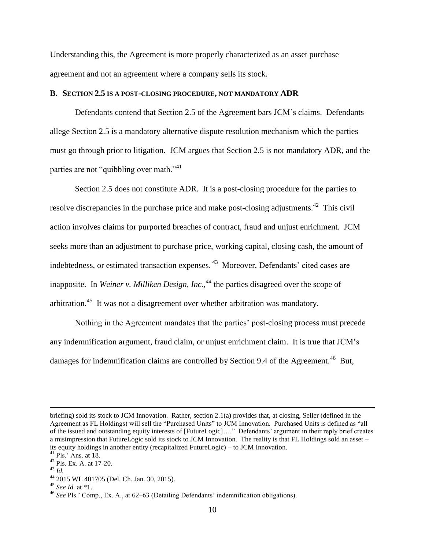Understanding this, the Agreement is more properly characterized as an asset purchase agreement and not an agreement where a company sells its stock.

#### **B. SECTION 2.5 IS A POST-CLOSING PROCEDURE, NOT MANDATORY ADR**

Defendants contend that Section 2.5 of the Agreement bars JCM's claims. Defendants allege Section 2.5 is a mandatory alternative dispute resolution mechanism which the parties must go through prior to litigation. JCM argues that Section 2.5 is not mandatory ADR, and the parties are not "quibbling over math."<sup>41</sup>

Section 2.5 does not constitute ADR. It is a post-closing procedure for the parties to resolve discrepancies in the purchase price and make post-closing adjustments.<sup>42</sup> This civil action involves claims for purported breaches of contract, fraud and unjust enrichment. JCM seeks more than an adjustment to purchase price, working capital, closing cash, the amount of indebtedness, or estimated transaction expenses.<sup>43</sup> Moreover, Defendants' cited cases are inapposite. In *Weiner v. Milliken Design, Inc.,<sup>44</sup>* the parties disagreed over the scope of arbitration.<sup>45</sup> It was not a disagreement over whether arbitration was mandatory.

Nothing in the Agreement mandates that the parties' post-closing process must precede any indemnification argument, fraud claim, or unjust enrichment claim. It is true that JCM's damages for indemnification claims are controlled by Section 9.4 of the Agreement.<sup>46</sup> But,

briefing) sold its stock to JCM Innovation. Rather, section 2.1(a) provides that, at closing, Seller (defined in the Agreement as FL Holdings) will sell the "Purchased Units" to JCM Innovation. Purchased Units is defined as "all of the issued and outstanding equity interests of [FutureLogic]…." Defendants' argument in their reply brief creates a misimpression that FutureLogic sold its stock to JCM Innovation. The reality is that FL Holdings sold an asset – its equity holdings in another entity (recapitalized FutureLogic) – to JCM Innovation.

 $^{41}$  Pls.' Ans. at 18.

<sup>42</sup> Pls. Ex. A. at 17-20.

<sup>43</sup> *Id.*

<sup>44</sup> 2015 WL 401705 (Del. Ch. Jan. 30, 2015).

<sup>45</sup> *See Id.* at \*1.

<sup>46</sup> *See* Pls.' Comp., Ex. A., at 62–63 (Detailing Defendants' indemnification obligations).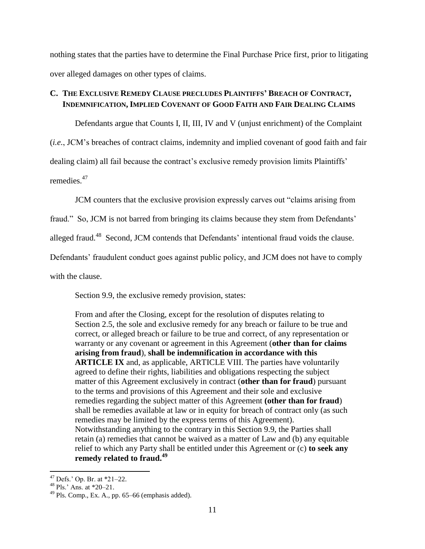nothing states that the parties have to determine the Final Purchase Price first, prior to litigating over alleged damages on other types of claims.

# **C. THE EXCLUSIVE REMEDY CLAUSE PRECLUDES PLAINTIFFS' BREACH OF CONTRACT, INDEMNIFICATION, IMPLIED COVENANT OF GOOD FAITH AND FAIR DEALING CLAIMS**

Defendants argue that Counts I, II, III, IV and V (unjust enrichment) of the Complaint (*i.e.*, JCM's breaches of contract claims, indemnity and implied covenant of good faith and fair dealing claim) all fail because the contract's exclusive remedy provision limits Plaintiffs' remedies.<sup>47</sup>

JCM counters that the exclusive provision expressly carves out "claims arising from

fraud." So, JCM is not barred from bringing its claims because they stem from Defendants'

alleged fraud.<sup>48</sup> Second, JCM contends that Defendants' intentional fraud voids the clause.

Defendants' fraudulent conduct goes against public policy, and JCM does not have to comply

with the clause.

Section 9.9, the exclusive remedy provision, states:

From and after the Closing, except for the resolution of disputes relating to Section 2.5, the sole and exclusive remedy for any breach or failure to be true and correct, or alleged breach or failure to be true and correct, of any representation or warranty or any covenant or agreement in this Agreement (**other than for claims arising from fraud**), **shall be indemnification in accordance with this ARTICLE IX** and, as applicable, ARTICLE VIII. The parties have voluntarily agreed to define their rights, liabilities and obligations respecting the subject matter of this Agreement exclusively in contract (**other than for fraud**) pursuant to the terms and provisions of this Agreement and their sole and exclusive remedies regarding the subject matter of this Agreement **(other than for fraud**) shall be remedies available at law or in equity for breach of contract only (as such remedies may be limited by the express terms of this Agreement). Notwithstanding anything to the contrary in this Section 9.9, the Parties shall retain (a) remedies that cannot be waived as a matter of Law and (b) any equitable relief to which any Party shall be entitled under this Agreement or (c) **to seek any remedy related to fraud.<sup>49</sup>**

 $\overline{\phantom{a}}$  $47$  Defs.' Op. Br. at  $*21-22$ .

 $48$  Pls.' Ans. at  $*20-21$ .

 $^{49}$  Pls. Comp., Ex. A., pp. 65–66 (emphasis added).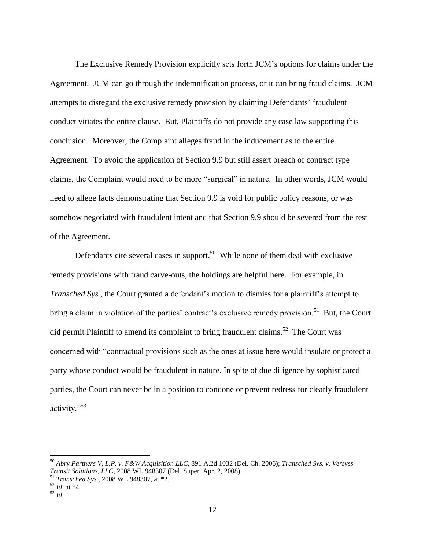The Exclusive Remedy Provision explicitly sets forth JCM's options for claims under the Agreement. JCM can go through the indemnification process, or it can bring fraud claims. JCM attempts to disregard the exclusive remedy provision by claiming Defendants' fraudulent conduct vitiates the entire clause. But, Plaintiffs do not provide any case law supporting this conclusion. Moreover, the Complaint alleges fraud in the inducement as to the entire Agreement. To avoid the application of Section 9.9 but still assert breach of contract type claims, the Complaint would need to be more "surgical" in nature. In other words, JCM would need to allege facts demonstrating that Section 9.9 is void for public policy reasons, or was somehow negotiated with fraudulent intent and that Section 9.9 should be severed from the rest of the Agreement.

Defendants cite several cases in support.<sup>50</sup> While none of them deal with exclusive remedy provisions with fraud carve-outs, the holdings are helpful here. For example, in *Transched Sys.*, the Court granted a defendant's motion to dismiss for a plaintiff's attempt to bring a claim in violation of the parties' contract's exclusive remedy provision.<sup>51</sup> But, the Court did permit Plaintiff to amend its complaint to bring fraudulent claims.<sup>52</sup> The Court was concerned with "contractual provisions such as the ones at issue here would insulate or protect a party whose conduct would be fraudulent in nature. In spite of due diligence by sophisticated parties, the Court can never be in a position to condone or prevent redress for clearly fraudulent activity."<sup>53</sup>

 $\overline{a}$ 

<sup>50</sup> *Abry Partners V, L.P. v. F&W Acquisition LLC,* 891 A.2d 1032 (Del. Ch. 2006); *Transched Sys. v. Versyss Transit Solutions, LLC*, 2008 WL 948307 (Del. Super. Apr. 2, 2008).

<sup>51</sup> *Transched Sys.,* 2008 WL 948307, at \*2.

 $52$  *Id.* at  $*4$ .

<sup>53</sup> *Id.*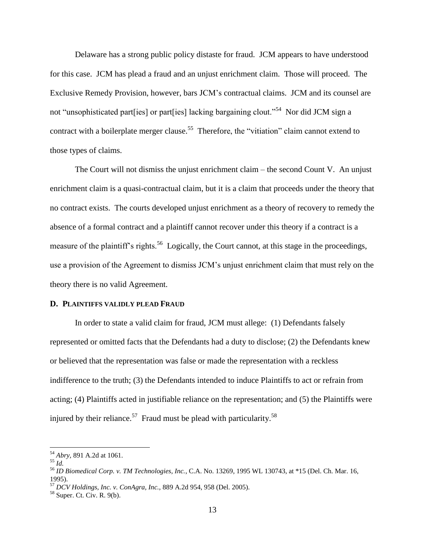Delaware has a strong public policy distaste for fraud. JCM appears to have understood for this case. JCM has plead a fraud and an unjust enrichment claim. Those will proceed. The Exclusive Remedy Provision, however, bars JCM's contractual claims. JCM and its counsel are not "unsophisticated part [ies] or part [ies] lacking bargaining clout."<sup>54</sup> Nor did JCM sign a contract with a boilerplate merger clause.<sup>55</sup> Therefore, the "vitiation" claim cannot extend to those types of claims.

The Court will not dismiss the unjust enrichment claim – the second Count V. An unjust enrichment claim is a quasi-contractual claim, but it is a claim that proceeds under the theory that no contract exists. The courts developed unjust enrichment as a theory of recovery to remedy the absence of a formal contract and a plaintiff cannot recover under this theory if a contract is a measure of the plaintiff's rights.<sup>56</sup> Logically, the Court cannot, at this stage in the proceedings, use a provision of the Agreement to dismiss JCM's unjust enrichment claim that must rely on the theory there is no valid Agreement.

#### **D. PLAINTIFFS VALIDLY PLEAD FRAUD**

In order to state a valid claim for fraud, JCM must allege: (1) Defendants falsely represented or omitted facts that the Defendants had a duty to disclose; (2) the Defendants knew or believed that the representation was false or made the representation with a reckless indifference to the truth; (3) the Defendants intended to induce Plaintiffs to act or refrain from acting; (4) Plaintiffs acted in justifiable reliance on the representation; and (5) the Plaintiffs were injured by their reliance.<sup>57</sup> Fraud must be plead with particularity.<sup>58</sup>

l

<sup>54</sup> *Abry,* 891 A.2d at 1061.

<sup>55</sup> *Id.*

<sup>56</sup> *ID Biomedical Corp. v. TM Technologies, Inc.*, C.A. No. 13269, 1995 WL 130743, at \*15 (Del. Ch. Mar. 16, 1995).

<sup>57</sup> *DCV Holdings, Inc. v. ConAgra, Inc.,* 889 A.2d 954, 958 (Del. 2005).

 $58$  Super. Ct. Civ. R. 9(b).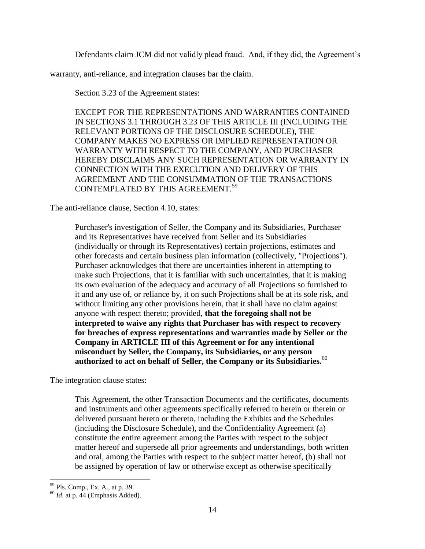Defendants claim JCM did not validly plead fraud. And, if they did, the Agreement's

warranty, anti-reliance, and integration clauses bar the claim.

Section 3.23 of the Agreement states:

EXCEPT FOR THE REPRESENTATIONS AND WARRANTIES CONTAINED IN SECTIONS 3.1 THROUGH 3.23 OF THIS ARTICLE III (INCLUDING THE RELEVANT PORTIONS OF THE DISCLOSURE SCHEDULE), THE COMPANY MAKES NO EXPRESS OR IMPLIED REPRESENTATION OR WARRANTY WITH RESPECT TO THE COMPANY, AND PURCHASER HEREBY DISCLAIMS ANY SUCH REPRESENTATION OR WARRANTY IN CONNECTION WITH THE EXECUTION AND DELIVERY OF THIS AGREEMENT AND THE CONSUMMATION OF THE TRANSACTIONS CONTEMPLATED BY THIS AGREEMENT.<sup>59</sup>

The anti-reliance clause, Section 4.10, states:

Purchaser's investigation of Seller, the Company and its Subsidiaries, Purchaser and its Representatives have received from Seller and its Subsidiaries (individually or through its Representatives) certain projections, estimates and other forecasts and certain business plan information (collectively, "Projections"). Purchaser acknowledges that there are uncertainties inherent in attempting to make such Projections, that it is familiar with such uncertainties, that it is making its own evaluation of the adequacy and accuracy of all Projections so furnished to it and any use of, or reliance by, it on such Projections shall be at its sole risk, and without limiting any other provisions herein, that it shall have no claim against anyone with respect thereto; provided, **that the foregoing shall not be interpreted to waive any rights that Purchaser has with respect to recovery for breaches of express representations and warranties made by Seller or the Company in ARTICLE III of this Agreement or for any intentional misconduct by Seller, the Company, its Subsidiaries, or any person authorized to act on behalf of Seller, the Company or its Subsidiaries.**<sup>60</sup>

The integration clause states:

This Agreement, the other Transaction Documents and the certificates, documents and instruments and other agreements specifically referred to herein or therein or delivered pursuant hereto or thereto, including the Exhibits and the Schedules (including the Disclosure Schedule), and the Confidentiality Agreement (a) constitute the entire agreement among the Parties with respect to the subject matter hereof and supersede all prior agreements and understandings, both written and oral, among the Parties with respect to the subject matter hereof, (b) shall not be assigned by operation of law or otherwise except as otherwise specifically

 $\overline{\phantom{a}}$ <sup>59</sup> Pls. Comp., Ex. A., at p. 39.

 $60$  *Id.* at p. 44 (Emphasis Added).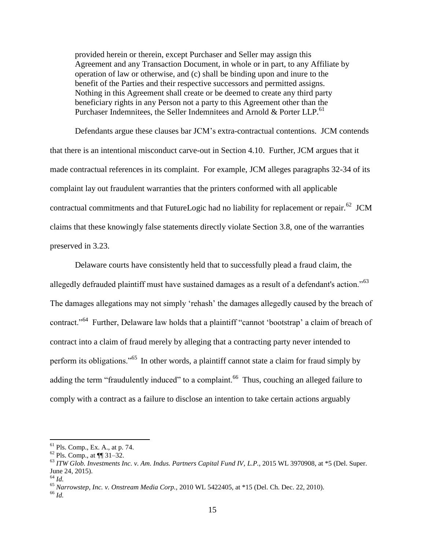provided herein or therein, except Purchaser and Seller may assign this Agreement and any Transaction Document, in whole or in part, to any Affiliate by operation of law or otherwise, and (c) shall be binding upon and inure to the benefit of the Parties and their respective successors and permitted assigns. Nothing in this Agreement shall create or be deemed to create any third party beneficiary rights in any Person not a party to this Agreement other than the Purchaser Indemnitees, the Seller Indemnitees and Arnold & Porter LLP.<sup>61</sup>

Defendants argue these clauses bar JCM's extra-contractual contentions. JCM contends that there is an intentional misconduct carve-out in Section 4.10. Further, JCM argues that it made contractual references in its complaint. For example, JCM alleges paragraphs 32-34 of its complaint lay out fraudulent warranties that the printers conformed with all applicable contractual commitments and that FutureLogic had no liability for replacement or repair.<sup>62</sup> JCM claims that these knowingly false statements directly violate Section 3.8, one of the warranties preserved in 3.23.

Delaware courts have consistently held that to successfully plead a fraud claim, the allegedly defrauded plaintiff must have sustained damages as a result of a defendant's action."<sup>63</sup> The damages allegations may not simply 'rehash' the damages allegedly caused by the breach of contract."<sup>64</sup> Further, Delaware law holds that a plaintiff "cannot 'bootstrap' a claim of breach of contract into a claim of fraud merely by alleging that a contracting party never intended to perform its obligations."<sup>65</sup> In other words, a plaintiff cannot state a claim for fraud simply by adding the term "fraudulently induced" to a complaint.<sup>66</sup> Thus, couching an alleged failure to comply with a contract as a failure to disclose an intention to take certain actions arguably

 $61$  Pls. Comp., Ex. A., at p. 74.

 $62$  Pls. Comp., at  $\P$  31–32.

<sup>63</sup> *ITW Glob. Investments Inc. v. Am. Indus. Partners Capital Fund IV, L.P.,* 2015 WL 3970908, at \*5 (Del. Super. June 24, 2015).

<sup>64</sup> *Id.*

<sup>65</sup> *Narrowstep, Inc. v. Onstream Media Corp.,* 2010 WL 5422405, at \*15 (Del. Ch. Dec. 22, 2010).

<sup>66</sup> *Id.*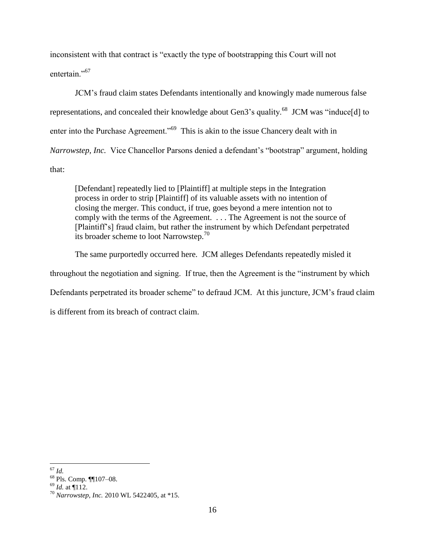inconsistent with that contract is "exactly the type of bootstrapping this Court will not entertain<sup>"67</sup>

JCM's fraud claim states Defendants intentionally and knowingly made numerous false representations, and concealed their knowledge about Gen3's quality.<sup>68</sup> JCM was "induce[d] to enter into the Purchase Agreement."<sup>69</sup> This is akin to the issue Chancery dealt with in *Narrowstep, Inc.* Vice Chancellor Parsons denied a defendant's "bootstrap" argument, holding that:

[Defendant] repeatedly lied to [Plaintiff] at multiple steps in the Integration process in order to strip [Plaintiff] of its valuable assets with no intention of closing the merger. This conduct, if true, goes beyond a mere intention not to comply with the terms of the Agreement. . . . The Agreement is not the source of [Plaintiff's] fraud claim, but rather the instrument by which Defendant perpetrated its broader scheme to loot Narrowstep.<sup>70</sup>

The same purportedly occurred here. JCM alleges Defendants repeatedly misled it throughout the negotiation and signing. If true, then the Agreement is the "instrument by which Defendants perpetrated its broader scheme" to defraud JCM. At this juncture, JCM's fraud claim is different from its breach of contract claim.

 $\overline{\phantom{a}}$ <sup>67</sup> *Id.*

<sup>68</sup> Pls. Comp. ¶¶107–08.

 $^{69}$  *Id.* at ¶112.

<sup>70</sup> *Narrowstep, Inc.* 2010 WL 5422405, at \*15.